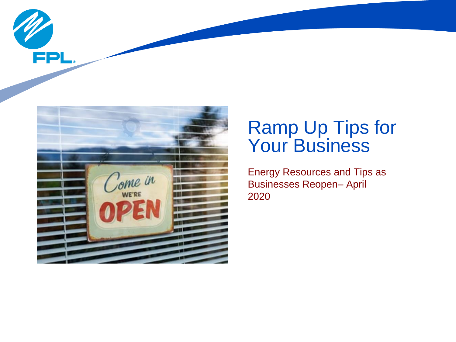



# Ramp Up Tips for Your Business

Energy Resources and Tips as Businesses Reopen– April 2020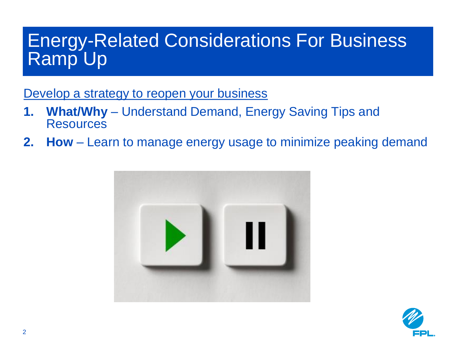# Energy-Related Considerations For Business Ramp Up

Develop a strategy to reopen your business

- **1. What/Why**  Understand Demand, Energy Saving Tips and **Resources**
- **2. How** Learn to manage energy usage to minimize peaking demand



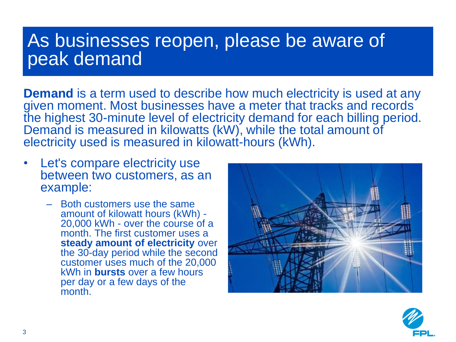### As businesses reopen, please be aware of peak demand

**Demand** is a term used to describe how much electricity is used at any given moment. Most businesses have a meter that tracks and records the highest 30-minute level of electricity demand for each billing period. Demand is measured in kilowatts (kW), while the total amount of electricity used is measured in kilowatt-hours (kWh).

- Let's compare electricity use between two customers, as an example:
	- Both customers use the same amount of kilowatt hours (kWh) - 20,000 kWh - over the course of a month. The first customer uses a **steady amount of electricity** over the 30-day period while the second customer uses much of the 20,000 kWh in **bursts** over a few hours per day or a few days of the month<sup>1</sup>



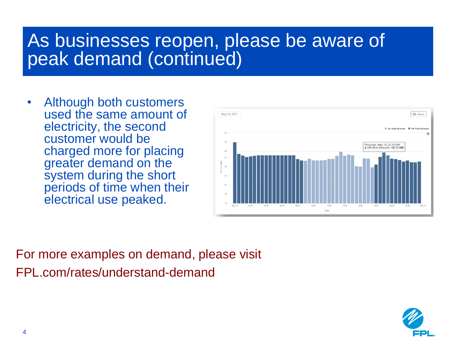# As businesses reopen, please be aware of peak demand (continued)

• Although both customers used the same amount of electricity, the second customer would be charged more for placing greater demand on the system during the short periods of time when their electrical use peaked.



For more examples on demand, please visit FPL.com/rates/understand-demand

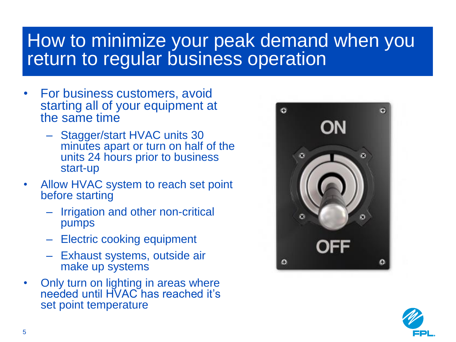# How to minimize your peak demand when you return to regular business operation

- For business customers, avoid starting all of your equipment at the same time
	- Stagger/start HVAC units 30 minutes apart or turn on half of the units 24 hours prior to business start-up
- Allow HVAC system to reach set point before starting
	- Irrigation and other non-critical pumps
	- Electric cooking equipment
	- Exhaust systems, outside air make up systems
- Only turn on lighting in areas where needed until HVAC has reached it's set point temperature



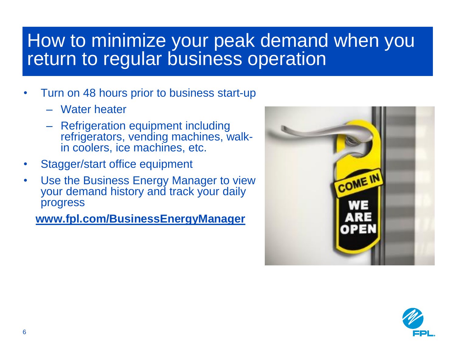# How to minimize your peak demand when you return to regular business operation

- Turn on 48 hours prior to business start-up
	- Water heater
	- Refrigeration equipment including refrigerators, vending machines, walkin coolers, ice machines, etc.
- Stagger/start office equipment
- Use the Business Energy Manager to view your demand history and track your daily progress

**[www.fpl.com/BusinessEnergyManager](http://www.fpl.com/BusinessEnergyManager)**



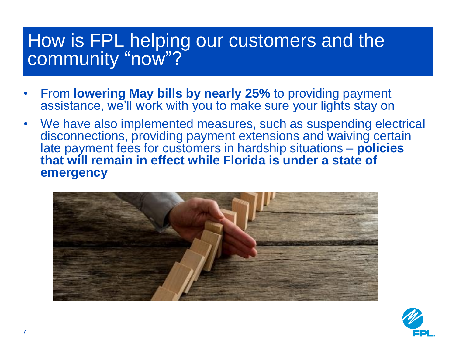# How is FPL helping our customers and the community "now"?

- From **lowering May bills by nearly 25%** to providing payment assistance, we'll work with you to make sure your lights stay on
- We have also implemented measures, such as suspending electrical disconnections, providing payment extensions and waiving certain late payment fees for customers in hardship situations – **policies that will remain in effect while Florida is under a state of emergency**



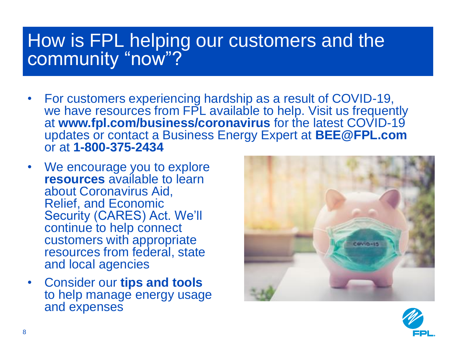# How is FPL helping our customers and the community "now"?

- For customers experiencing hardship as a result of COVID-19, we have resources from FPL available to help. Visit us frequently at **www.fpl.com/business/coronavirus** for the latest COVID-19 updates or contact a Business Energy Expert at **BEE@FPL.com**  or at **1-800-375-2434**
- We encourage you to explore **resources** available to learn about Coronavirus Aid, Relief, and Economic Security (CARES) Act. We'll continue to help connect customers with appropriate resources from federal, state and local agencies
- Consider our **tips and tools**  to help manage energy usage and expenses



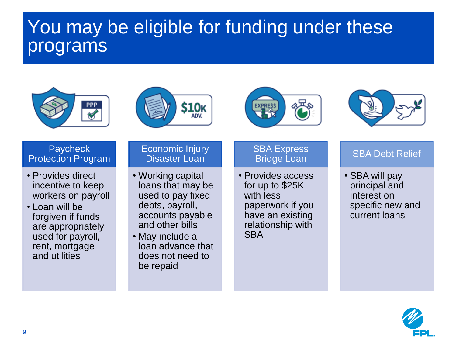# You may be eligible for funding under these programs









#### **Paycheck** Protection Program

- Provides direct incentive to keep workers on payroll
- Loan will be forgiven if funds are appropriately used for payroll, rent, mortgage and utilities

#### Economic Injury Disaster Loan

- Working capital loans that may be used to pay fixed debts, payroll, accounts payable and other bills
- May include a loan advance that does not need to be repaid

### **SBA Express** Bridge Loan

• Provides access for up to \$25K with less paperwork if you have an existing relationship with **SBA** 

### SBA Debt Relief

• SBA will pay principal and interest on specific new and current loans